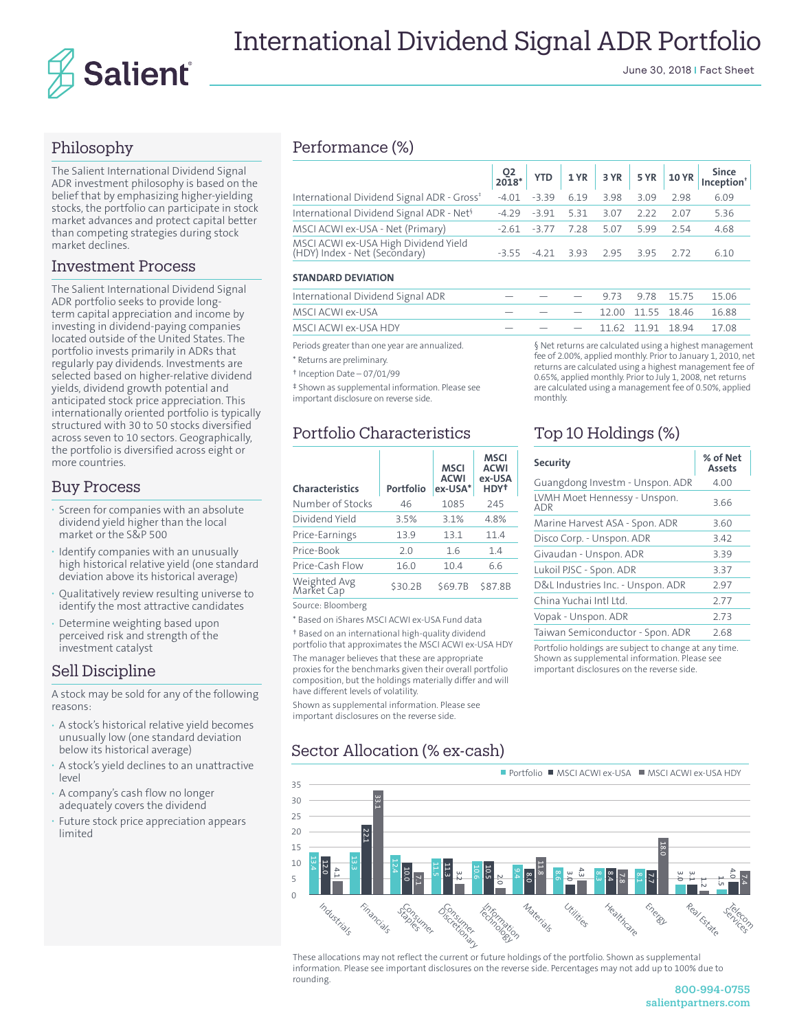

# International Dividend Signal ADR Portfolio

June 30, 2018 | Fact Sheet

## Philosophy

The Salient International Dividend Signal ADR investment philosophy is based on the belief that by emphasizing higher-yielding stocks, the portfolio can participate in stock market advances and protect capital better than competing strategies during stock market declines.

### Investment Process

The Salient International Dividend Signal ADR portfolio seeks to provide longterm capital appreciation and income by investing in dividend-paying companies located outside of the United States. The portfolio invests primarily in ADRs that regularly pay dividends. Investments are selected based on higher-relative dividend yields, dividend growth potential and anticipated stock price appreciation. This internationally oriented portfolio is typically structured with 30 to 50 stocks diversified across seven to 10 sectors. Geographically, the portfolio is diversified across eight or more countries.

### Buy Process

- **·** Screen for companies with an absolute dividend yield higher than the local market or the S&P 500
- **·** Identify companies with an unusually high historical relative yield (one standard deviation above its historical average)
- **·** Qualitatively review resulting universe to identify the most attractive candidates
- **·** Determine weighting based upon perceived risk and strength of the investment catalyst

### Sell Discipline

A stock may be sold for any of the following reasons:

- **·** A stock's historical relative yield becomes unusually low (one standard deviation below its historical average)
- **·** A stock's yield declines to an unattractive level
- **·** A company's cash flow no longer adequately covers the dividend
- **·** Future stock price appreciation appears limited

## Performance (%)

| International Dividend Signal ADR - Gross <sup>*</sup>                | $-4.01 -3.39$ 6.19 3.98 3.09                |      |      | 298       | 6.09 |
|-----------------------------------------------------------------------|---------------------------------------------|------|------|-----------|------|
| International Dividend Signal ADR - Net <sup>§</sup>                  | $-4.29$ $-3.91$ 5.31                        | 3.07 | 2.22 | 207       | 5.36 |
| MSCI ACWI ex-USA - Net (Primary)                                      | $-2.61$ $-3.77$ $7.28$ 5.07                 |      |      | 5.99 2.54 | 4.68 |
| MSCI ACWI ex-USA High Dividend Yield<br>(HDY) Index - Net (Secondary) | $-3.55$ $-4.21$ $3.93$ $2.95$ $3.95$ $2.72$ |      |      |           | 6.10 |

#### **STANDARD DEVIATION**

| International Dividend Signal ADR                                           |                                                                                                                                                                                                                        |  |  |                        |  | $-$ 9.73 9.78 15.75 15.06    |       |  |
|-----------------------------------------------------------------------------|------------------------------------------------------------------------------------------------------------------------------------------------------------------------------------------------------------------------|--|--|------------------------|--|------------------------------|-------|--|
| MSCI ACWI ex-USA                                                            |                                                                                                                                                                                                                        |  |  | $ -$ 12.00 11.55 18.46 |  |                              | 16.88 |  |
| MSCI ACWI ex-USA HDY                                                        |                                                                                                                                                                                                                        |  |  |                        |  | $ -$ 11.62 11.91 18.94 17.08 |       |  |
| Periods greater than one year are annualized.<br>* Returns are preliminary. | § Net returns are calculated using a highest managemen<br>fee of 2.00%, applied monthly. Prior to January 1, 2010, no<br>والمتمكونة ومستمر والمتماسي والمتماس والمتالوا المراسية والمستقيد المستقال ومراسم والمستناسية |  |  |                        |  |                              |       |  |

† Inception Date – 07/01/99

‡ Shown as supplemental information. Please see important disclosure on reverse side.

## Portfolio Characteristics

| <b>Characteristics</b>     | Portfolio | <b>MSCI</b><br><b>ACWI</b><br>ex-USA* | MSCI<br><b>ACWI</b><br>ex-USA<br>HDY <sup>†</sup> |
|----------------------------|-----------|---------------------------------------|---------------------------------------------------|
| Number of Stocks           | 46        | 1085                                  | 245                                               |
| Dividend Yield             | 3.5%      | 3.1%                                  | 4.8%                                              |
| Price-Earnings             | 13.9      | 13.1                                  | 11.4                                              |
| Price-Book                 | 2.0       | 1.6                                   | 1.4                                               |
| Price-Cash Flow            | 16.0      | 10.4                                  | 6.6                                               |
| Weighted Avg<br>Market Cap | \$30.2B   | \$69.7B                               | \$87.8B                                           |
| Course Discourses          |           |                                       |                                                   |

Source: Bloomberg

\* Based on iShares MSCI ACWI ex-USA Fund data

† Based on an international high-quality dividend portfolio that approximates the MSCI ACWI ex-USA HDY

The manager believes that these are appropriate proxies for the benchmarks given their overall portfolio composition, but the holdings materially differ and will have different levels of volatility.

Shown as supplemental information. Please see important disclosures on the reverse side.

# Sector Allocation (% ex-cash)

§ Net returns are calculated using a highest management fee of 2.00%, applied monthly. Prior to January 1, 2010, net returns are calculated using a highest management fee of 0.65%, applied monthly. Prior to July 1, 2008, net returns are calculated using a management fee of 0.50%, applied monthly.

# Top 10 Holdings (%)

| <b>Security</b>                     | % of Net<br><b>Assets</b> |
|-------------------------------------|---------------------------|
| Guangdong Investm - Unspon. ADR     | 4.00                      |
| LVMH Moet Hennessy - Unspon.<br>adr | 3.66                      |
| Marine Harvest ASA - Spon. ADR      | 3.60                      |
| Disco Corp. - Unspon. ADR           | 3.42                      |
| Givaudan - Unspon. ADR              | 3.39                      |
| Lukoil PJSC - Spon. ADR             | 3.37                      |
| D&L Industries Inc. - Unspon. ADR   | 2.97                      |
| China Yuchai Intl Itd               | 2.77                      |
| Vopak - Unspon. ADR                 | 2.73                      |
| Taiwan Semiconductor - Spon. ADR    | 2.68                      |

Portfolio holdings are subject to change at any time. Shown as supplemental information. Please see important disclosures on the reverse side.

Portfolio MSCI ACWI ex-USA MSCI ACWI ex-USA HDY

|    | $-$ FULLIUIIU $-$ IVISCI ACYVI EX-USA<br><b>- IVIJLI ALIVII CA-UJA I IDI</b>                                                                                                     |
|----|----------------------------------------------------------------------------------------------------------------------------------------------------------------------------------|
| 35 |                                                                                                                                                                                  |
| 30 | 33.1                                                                                                                                                                             |
| 25 |                                                                                                                                                                                  |
| 20 | <b>22.1</b>                                                                                                                                                                      |
| 15 | $\overline{8.0}$                                                                                                                                                                 |
| 10 | P<br>12.0<br>ڛ<br>11.8<br>11.3<br>ω                                                                                                                                              |
| 5  | 10.6<br>10.5<br>10.0<br>Ξ,<br>4.1<br>9.4<br>4.3<br>8.6<br>8.0<br>υÎ<br>8.4<br>Ο.<br>Θ<br>$\infty$<br>$\frac{8}{1}$<br>7.7<br>7.8<br>ب ِ<br>ŗω<br>E<br>$\overline{c}$<br>ίω<br>üп |
| 0  |                                                                                                                                                                                  |
|    | Financials<br>Utilities<br>Healthcare<br>Real Estate<br>Industrials<br>Energy<br>Materials<br>Discretiner<br>stonsymer<br>rhmation<br>LCOV                                       |

These allocations may not reflect the current or future holdings of the portfolio. Shown as supplemental information. Please see important disclosures on the reverse side. Percentages may not add up to 100% due to rounding.

> 800-994-0755 salientpartners.com